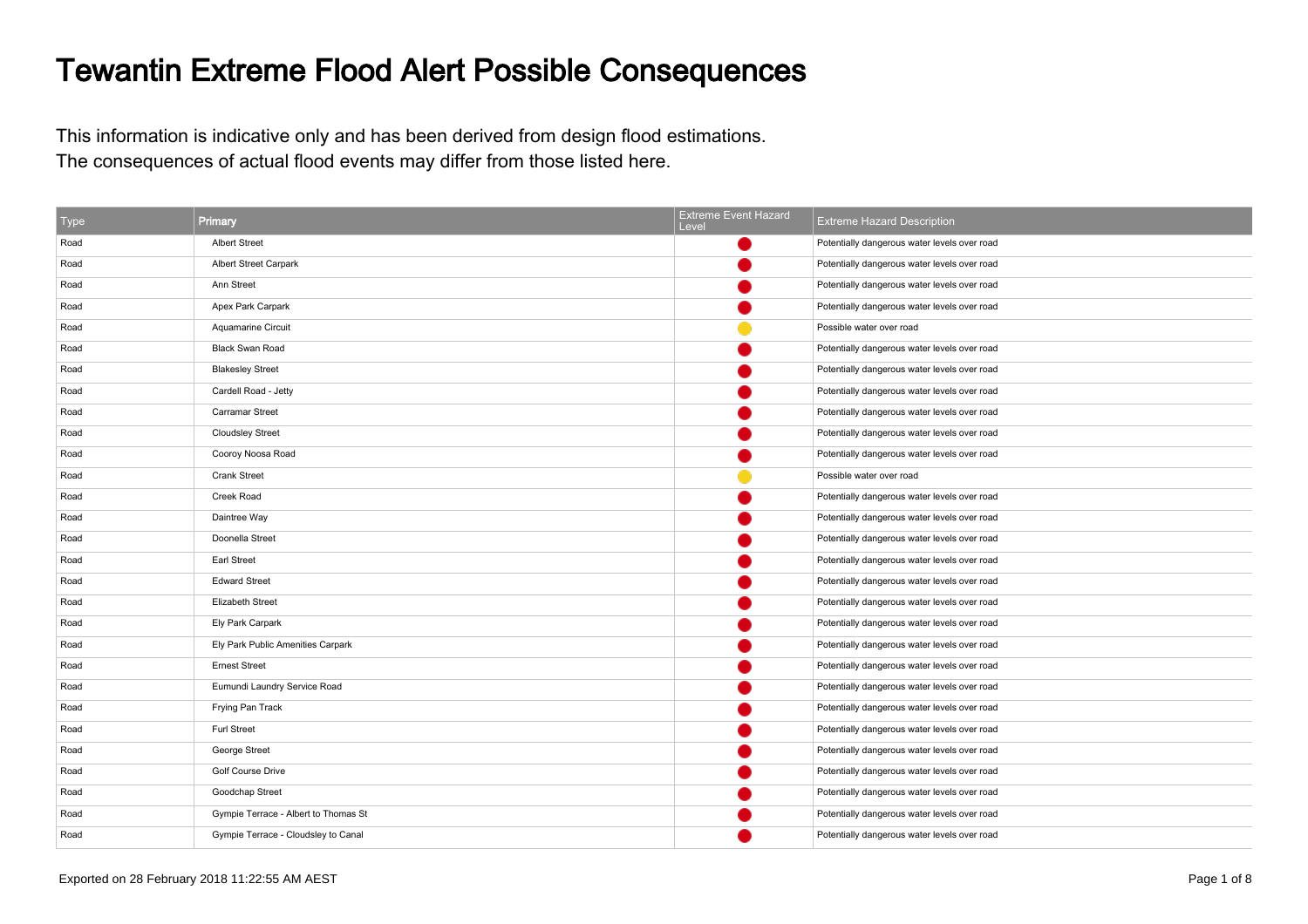## Tewantin Extreme Flood Alert Possible Consequences

This information is indicative only and has been derived from design flood estimations.The consequences of actual flood events may differ from those listed here.

| Type | Primary                              | <b>Extreme Event Hazard</b><br>Level | <b>Extreme Hazard Description</b>            |
|------|--------------------------------------|--------------------------------------|----------------------------------------------|
| Road | <b>Albert Street</b>                 |                                      | Potentially dangerous water levels over road |
| Road | Albert Street Carpark                |                                      | Potentially dangerous water levels over road |
| Road | Ann Street                           |                                      | Potentially dangerous water levels over road |
| Road | Apex Park Carpark                    |                                      | Potentially dangerous water levels over road |
| Road | Aquamarine Circuit                   |                                      | Possible water over road                     |
| Road | <b>Black Swan Road</b>               |                                      | Potentially dangerous water levels over road |
| Road | <b>Blakesley Street</b>              |                                      | Potentially dangerous water levels over road |
| Road | Cardell Road - Jetty                 |                                      | Potentially dangerous water levels over road |
| Road | Carramar Street                      |                                      | Potentially dangerous water levels over road |
| Road | <b>Cloudsley Street</b>              |                                      | Potentially dangerous water levels over road |
| Road | Cooroy Noosa Road                    |                                      | Potentially dangerous water levels over road |
| Road | <b>Crank Street</b>                  |                                      | Possible water over road                     |
| Road | Creek Road                           |                                      | Potentially dangerous water levels over road |
| Road | Daintree Way                         |                                      | Potentially dangerous water levels over road |
| Road | Doonella Street                      |                                      | Potentially dangerous water levels over road |
| Road | Earl Street                          |                                      | Potentially dangerous water levels over road |
| Road | <b>Edward Street</b>                 |                                      | Potentially dangerous water levels over road |
| Road | Elizabeth Street                     |                                      | Potentially dangerous water levels over road |
| Road | Ely Park Carpark                     |                                      | Potentially dangerous water levels over road |
| Road | Ely Park Public Amenities Carpark    |                                      | Potentially dangerous water levels over road |
| Road | <b>Ernest Street</b>                 |                                      | Potentially dangerous water levels over road |
| Road | Eumundi Laundry Service Road         |                                      | Potentially dangerous water levels over road |
| Road | Frying Pan Track                     |                                      | Potentially dangerous water levels over road |
| Road | <b>Furl Street</b>                   |                                      | Potentially dangerous water levels over road |
| Road | George Street                        |                                      | Potentially dangerous water levels over road |
| Road | Golf Course Drive                    |                                      | Potentially dangerous water levels over road |
| Road | Goodchap Street                      |                                      | Potentially dangerous water levels over road |
| Road | Gympie Terrace - Albert to Thomas St |                                      | Potentially dangerous water levels over road |
| Road | Gympie Terrace - Cloudsley to Canal  |                                      | Potentially dangerous water levels over road |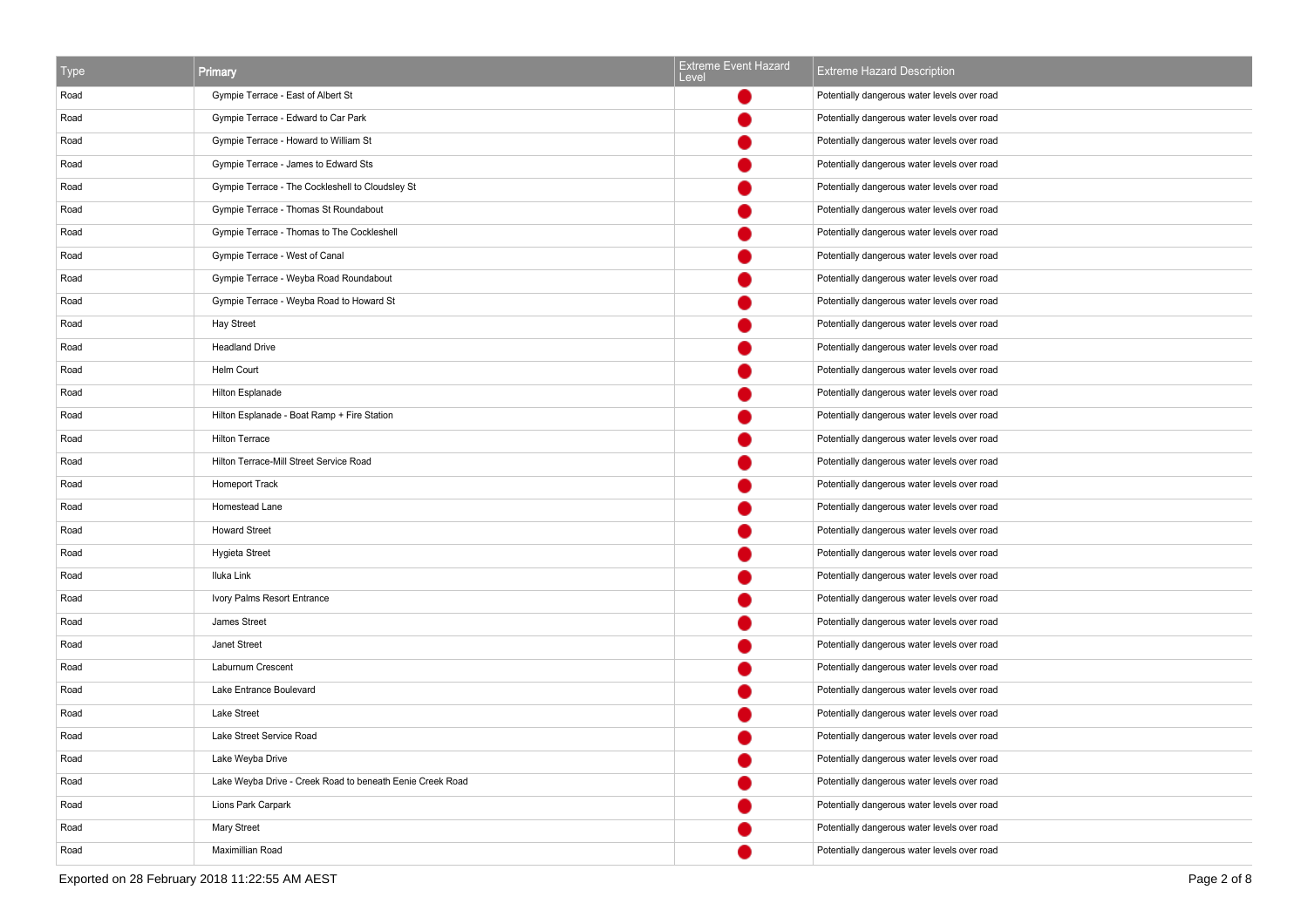| <b>Type</b> | Primary                                                   | Extreme Event Hazard<br>Level | <b>Extreme Hazard Description</b>            |
|-------------|-----------------------------------------------------------|-------------------------------|----------------------------------------------|
| Road        | Gympie Terrace - East of Albert St                        |                               | Potentially dangerous water levels over road |
| Road        | Gympie Terrace - Edward to Car Park                       |                               | Potentially dangerous water levels over road |
| Road        | Gympie Terrace - Howard to William St                     |                               | Potentially dangerous water levels over road |
| Road        | Gympie Terrace - James to Edward Sts                      |                               | Potentially dangerous water levels over road |
| Road        | Gympie Terrace - The Cockleshell to Cloudsley St          |                               | Potentially dangerous water levels over road |
| Road        | Gympie Terrace - Thomas St Roundabout                     |                               | Potentially dangerous water levels over road |
| Road        | Gympie Terrace - Thomas to The Cockleshell                |                               | Potentially dangerous water levels over road |
| Road        | Gympie Terrace - West of Canal                            |                               | Potentially dangerous water levels over road |
| Road        | Gympie Terrace - Weyba Road Roundabout                    |                               | Potentially dangerous water levels over road |
| Road        | Gympie Terrace - Weyba Road to Howard St                  |                               | Potentially dangerous water levels over road |
| Road        | <b>Hay Street</b>                                         |                               | Potentially dangerous water levels over road |
| Road        | <b>Headland Drive</b>                                     |                               | Potentially dangerous water levels over road |
| Road        | Helm Court                                                |                               | Potentially dangerous water levels over road |
| Road        | Hilton Esplanade                                          |                               | Potentially dangerous water levels over road |
| Road        | Hilton Esplanade - Boat Ramp + Fire Station               |                               | Potentially dangerous water levels over road |
| Road        | <b>Hilton Terrace</b>                                     |                               | Potentially dangerous water levels over road |
| Road        | Hilton Terrace-Mill Street Service Road                   |                               | Potentially dangerous water levels over road |
| Road        | Homeport Track                                            |                               | Potentially dangerous water levels over road |
| Road        | Homestead Lane                                            |                               | Potentially dangerous water levels over road |
| Road        | <b>Howard Street</b>                                      |                               | Potentially dangerous water levels over road |
| Road        | Hygieta Street                                            |                               | Potentially dangerous water levels over road |
| Road        | Iluka Link                                                |                               | Potentially dangerous water levels over road |
| Road        | Ivory Palms Resort Entrance                               |                               | Potentially dangerous water levels over road |
| Road        | James Street                                              |                               | Potentially dangerous water levels over road |
| Road        | Janet Street                                              |                               | Potentially dangerous water levels over road |
| Road        | Laburnum Crescent                                         |                               | Potentially dangerous water levels over road |
| Road        | Lake Entrance Boulevard                                   |                               | Potentially dangerous water levels over road |
| Road        | Lake Street                                               |                               | Potentially dangerous water levels over road |
| Road        | Lake Street Service Road                                  |                               | Potentially dangerous water levels over road |
| Road        | Lake Weyba Drive                                          |                               | Potentially dangerous water levels over road |
| Road        | Lake Weyba Drive - Creek Road to beneath Eenie Creek Road |                               | Potentially dangerous water levels over road |
| Road        | Lions Park Carpark                                        |                               | Potentially dangerous water levels over road |
| Road        | Mary Street                                               |                               | Potentially dangerous water levels over road |
| Road        | Maximillian Road                                          |                               | Potentially dangerous water levels over road |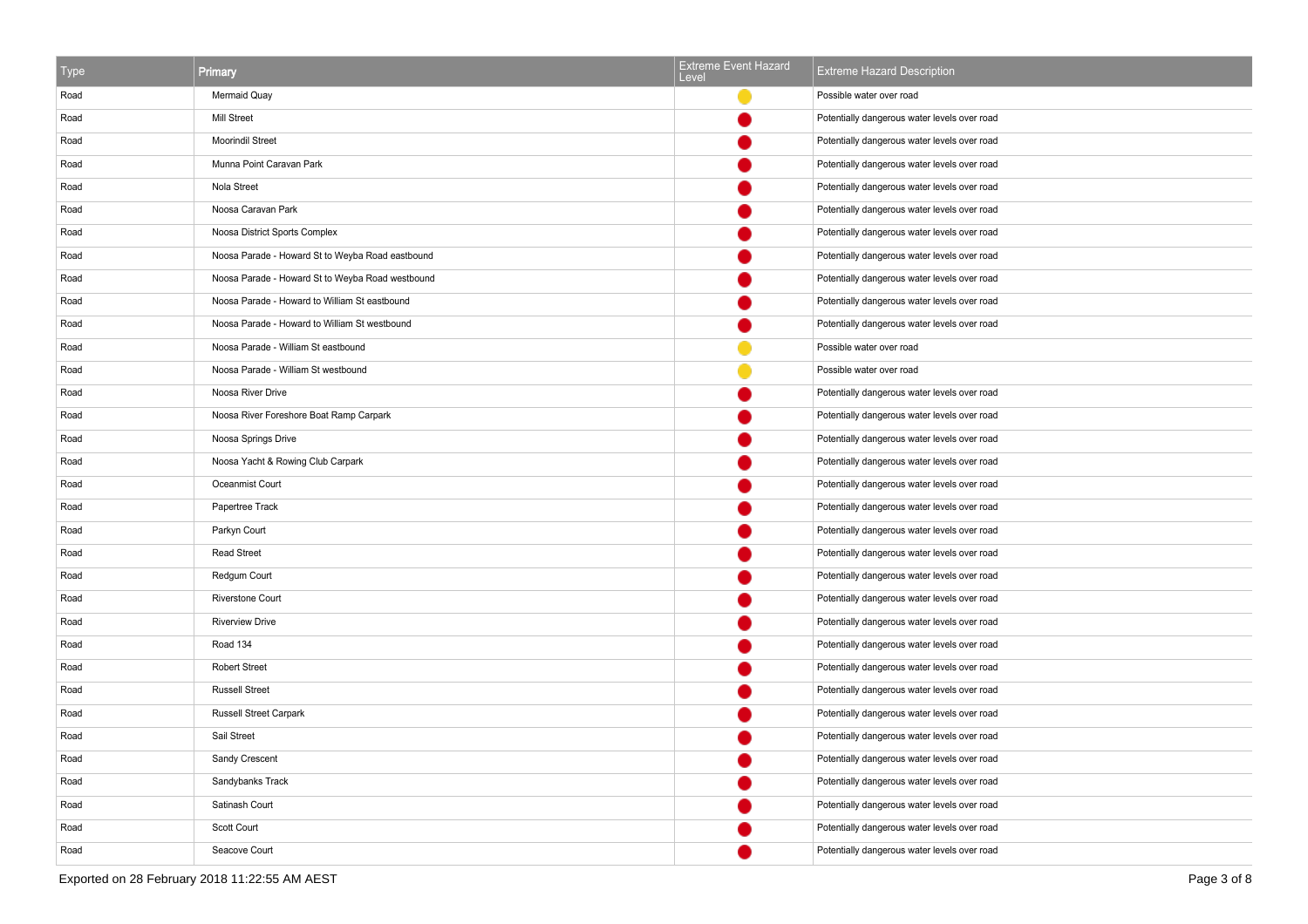| l ype | Primary                                          | <b>Extreme Event Hazard</b><br>Level | <b>Extreme Hazard Description</b>            |
|-------|--------------------------------------------------|--------------------------------------|----------------------------------------------|
| Road  | Mermaid Quay                                     |                                      | Possible water over road                     |
| Road  | Mill Street                                      |                                      | Potentially dangerous water levels over road |
| Road  | Moorindil Street                                 |                                      | Potentially dangerous water levels over road |
| Road  | Munna Point Caravan Park                         |                                      | Potentially dangerous water levels over road |
| Road  | Nola Street                                      |                                      | Potentially dangerous water levels over road |
| Road  | Noosa Caravan Park                               |                                      | Potentially dangerous water levels over road |
| Road  | Noosa District Sports Complex                    |                                      | Potentially dangerous water levels over road |
| Road  | Noosa Parade - Howard St to Weyba Road eastbound |                                      | Potentially dangerous water levels over road |
| Road  | Noosa Parade - Howard St to Weyba Road westbound |                                      | Potentially dangerous water levels over road |
| Road  | Noosa Parade - Howard to William St eastbound    |                                      | Potentially dangerous water levels over road |
| Road  | Noosa Parade - Howard to William St westbound    |                                      | Potentially dangerous water levels over road |
| Road  | Noosa Parade - William St eastbound              |                                      | Possible water over road                     |
| Road  | Noosa Parade - William St westbound              |                                      | Possible water over road                     |
| Road  | Noosa River Drive                                |                                      | Potentially dangerous water levels over road |
| Road  | Noosa River Foreshore Boat Ramp Carpark          |                                      | Potentially dangerous water levels over road |
| Road  | Noosa Springs Drive                              |                                      | Potentially dangerous water levels over road |
| Road  | Noosa Yacht & Rowing Club Carpark                |                                      | Potentially dangerous water levels over road |
| Road  | Oceanmist Court                                  |                                      | Potentially dangerous water levels over road |
| Road  | Papertree Track                                  |                                      | Potentially dangerous water levels over road |
| Road  | Parkyn Court                                     |                                      | Potentially dangerous water levels over road |
| Road  | <b>Read Street</b>                               |                                      | Potentially dangerous water levels over road |
| Road  | Redgum Court                                     |                                      | Potentially dangerous water levels over road |
| Road  | Riverstone Court                                 |                                      | Potentially dangerous water levels over road |
| Road  | <b>Riverview Drive</b>                           |                                      | Potentially dangerous water levels over road |
| Road  | Road 134                                         |                                      | Potentially dangerous water levels over road |
| Road  | <b>Robert Street</b>                             |                                      | Potentially dangerous water levels over road |
| Road  | <b>Russell Street</b>                            |                                      | Potentially dangerous water levels over road |
| Road  | <b>Russell Street Carpark</b>                    |                                      | Potentially dangerous water levels over road |
| Road  | Sail Street                                      |                                      | Potentially dangerous water levels over road |
| Road  | Sandy Crescent                                   |                                      | Potentially dangerous water levels over road |
| Road  | Sandybanks Track                                 |                                      | Potentially dangerous water levels over road |
| Road  | Satinash Court                                   |                                      | Potentially dangerous water levels over road |
| Road  | Scott Court                                      |                                      | Potentially dangerous water levels over road |
| Road  | Seacove Court                                    |                                      | Potentially dangerous water levels over road |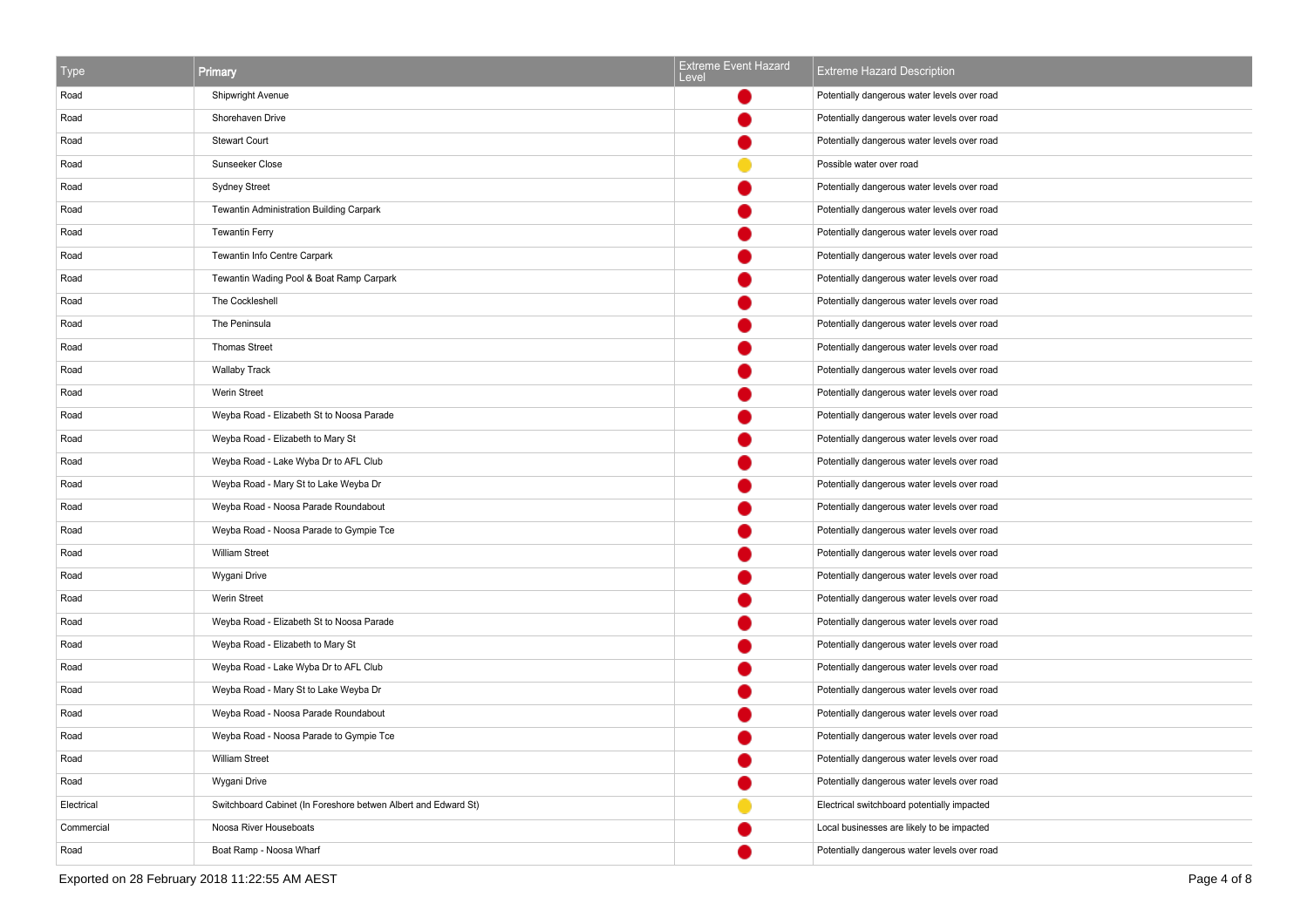| <b>Type</b> | Primary                                                        | <b>Extreme Event Hazard</b><br>Level | <b>Extreme Hazard Description</b>            |
|-------------|----------------------------------------------------------------|--------------------------------------|----------------------------------------------|
| Road        | Shipwright Avenue                                              |                                      | Potentially dangerous water levels over road |
| Road        | Shorehaven Drive                                               |                                      | Potentially dangerous water levels over road |
| Road        | <b>Stewart Court</b>                                           |                                      | Potentially dangerous water levels over road |
| Road        | Sunseeker Close                                                |                                      | Possible water over road                     |
| Road        | <b>Sydney Street</b>                                           |                                      | Potentially dangerous water levels over road |
| Road        | Tewantin Administration Building Carpark                       |                                      | Potentially dangerous water levels over road |
| Road        | <b>Tewantin Ferry</b>                                          |                                      | Potentially dangerous water levels over road |
| Road        | Tewantin Info Centre Carpark                                   |                                      | Potentially dangerous water levels over road |
| Road        | Tewantin Wading Pool & Boat Ramp Carpark                       |                                      | Potentially dangerous water levels over road |
| Road        | The Cockleshell                                                |                                      | Potentially dangerous water levels over road |
| Road        | The Peninsula                                                  |                                      | Potentially dangerous water levels over road |
| Road        | <b>Thomas Street</b>                                           |                                      | Potentially dangerous water levels over road |
| Road        | <b>Wallaby Track</b>                                           |                                      | Potentially dangerous water levels over road |
| Road        | Werin Street                                                   |                                      | Potentially dangerous water levels over road |
| Road        | Weyba Road - Elizabeth St to Noosa Parade                      |                                      | Potentially dangerous water levels over road |
| Road        | Weyba Road - Elizabeth to Mary St                              |                                      | Potentially dangerous water levels over road |
| Road        | Weyba Road - Lake Wyba Dr to AFL Club                          |                                      | Potentially dangerous water levels over road |
| Road        | Weyba Road - Mary St to Lake Weyba Dr                          |                                      | Potentially dangerous water levels over road |
| Road        | Weyba Road - Noosa Parade Roundabout                           |                                      | Potentially dangerous water levels over road |
| Road        | Weyba Road - Noosa Parade to Gympie Tce                        |                                      | Potentially dangerous water levels over road |
| Road        | <b>William Street</b>                                          |                                      | Potentially dangerous water levels over road |
| Road        | Wygani Drive                                                   |                                      | Potentially dangerous water levels over road |
| Road        | Werin Street                                                   |                                      | Potentially dangerous water levels over road |
| Road        | Weyba Road - Elizabeth St to Noosa Parade                      |                                      | Potentially dangerous water levels over road |
| Road        | Weyba Road - Elizabeth to Mary St                              |                                      | Potentially dangerous water levels over road |
| Road        | Weyba Road - Lake Wyba Dr to AFL Club                          |                                      | Potentially dangerous water levels over road |
| Road        | Weyba Road - Mary St to Lake Weyba Dr                          |                                      | Potentially dangerous water levels over road |
| Road        | Weyba Road - Noosa Parade Roundabout                           |                                      | Potentially dangerous water levels over road |
| Road        | Weyba Road - Noosa Parade to Gympie Tce                        |                                      | Potentially dangerous water levels over road |
| Road        | <b>William Street</b>                                          |                                      | Potentially dangerous water levels over road |
| Road        | Wygani Drive                                                   |                                      | Potentially dangerous water levels over road |
| Electrical  | Switchboard Cabinet (In Foreshore betwen Albert and Edward St) |                                      | Electrical switchboard potentially impacted  |
| Commercial  | Noosa River Houseboats                                         |                                      | Local businesses are likely to be impacted   |
| Road        | Boat Ramp - Noosa Wharf                                        |                                      | Potentially dangerous water levels over road |

Exported on 28 February 2018 11:22:55 AM AEST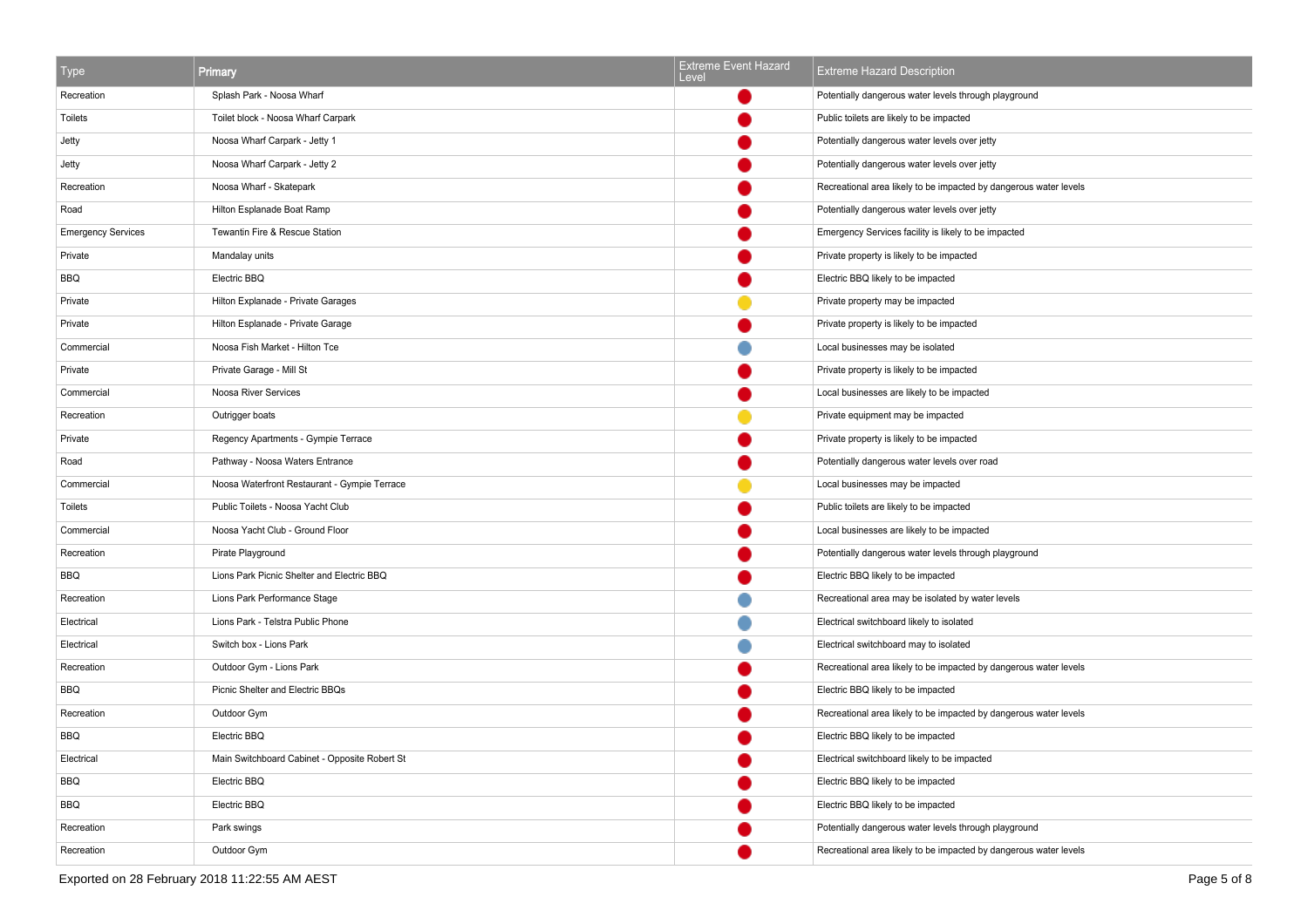| Type                      | <b>Primary</b>                                | <b>Extreme Event Hazard</b><br>Level | <b>Extreme Hazard Description</b>                                 |
|---------------------------|-----------------------------------------------|--------------------------------------|-------------------------------------------------------------------|
| Recreation                | Splash Park - Noosa Wharf                     |                                      | Potentially dangerous water levels through playground             |
| Toilets                   | Toilet block - Noosa Wharf Carpark            |                                      | Public toilets are likely to be impacted                          |
| Jetty                     | Noosa Wharf Carpark - Jetty 1                 |                                      | Potentially dangerous water levels over jetty                     |
| Jetty                     | Noosa Wharf Carpark - Jetty 2                 |                                      | Potentially dangerous water levels over jetty                     |
| Recreation                | Noosa Wharf - Skatepark                       |                                      | Recreational area likely to be impacted by dangerous water levels |
| Road                      | Hilton Esplanade Boat Ramp                    |                                      | Potentially dangerous water levels over jetty                     |
| <b>Emergency Services</b> | Tewantin Fire & Rescue Station                |                                      | Emergency Services facility is likely to be impacted              |
| Private                   | Mandalay units                                |                                      | Private property is likely to be impacted                         |
| BBQ                       | Electric BBQ                                  |                                      | Electric BBQ likely to be impacted                                |
| Private                   | Hilton Explanade - Private Garages            |                                      | Private property may be impacted                                  |
| Private                   | Hilton Esplanade - Private Garage             |                                      | Private property is likely to be impacted                         |
| Commercial                | Noosa Fish Market - Hilton Tce                |                                      | Local businesses may be isolated                                  |
| Private                   | Private Garage - Mill St                      |                                      | Private property is likely to be impacted                         |
| Commercial                | Noosa River Services                          |                                      | Local businesses are likely to be impacted                        |
| Recreation                | Outrigger boats                               |                                      | Private equipment may be impacted                                 |
| Private                   | Regency Apartments - Gympie Terrace           |                                      | Private property is likely to be impacted                         |
| Road                      | Pathway - Noosa Waters Entrance               |                                      | Potentially dangerous water levels over road                      |
| Commercial                | Noosa Waterfront Restaurant - Gympie Terrace  |                                      | Local businesses may be impacted                                  |
| Toilets                   | Public Toilets - Noosa Yacht Club             |                                      | Public toilets are likely to be impacted                          |
| Commercial                | Noosa Yacht Club - Ground Floor               |                                      | Local businesses are likely to be impacted                        |
| Recreation                | Pirate Playground                             |                                      | Potentially dangerous water levels through playground             |
| BBQ                       | Lions Park Picnic Shelter and Electric BBQ    |                                      | Electric BBQ likely to be impacted                                |
| Recreation                | Lions Park Performance Stage                  |                                      | Recreational area may be isolated by water levels                 |
| Electrical                | Lions Park - Telstra Public Phone             |                                      | Electrical switchboard likely to isolated                         |
| Electrical                | Switch box - Lions Park                       |                                      | Electrical switchboard may to isolated                            |
| Recreation                | Outdoor Gym - Lions Park                      |                                      | Recreational area likely to be impacted by dangerous water levels |
| <b>BBQ</b>                | Picnic Shelter and Electric BBQs              |                                      | Electric BBQ likely to be impacted                                |
| Recreation                | Outdoor Gym                                   |                                      | Recreational area likely to be impacted by dangerous water levels |
| BBQ                       | Electric BBQ                                  |                                      | Electric BBQ likely to be impacted                                |
| Electrical                | Main Switchboard Cabinet - Opposite Robert St |                                      | Electrical switchboard likely to be impacted                      |
| BBQ                       | Electric BBQ                                  |                                      | Electric BBQ likely to be impacted                                |
| <b>BBQ</b>                | Electric BBQ                                  |                                      | Electric BBQ likely to be impacted                                |
| Recreation                | Park swings                                   |                                      | Potentially dangerous water levels through playground             |
| Recreation                | Outdoor Gym                                   |                                      | Recreational area likely to be impacted by dangerous water levels |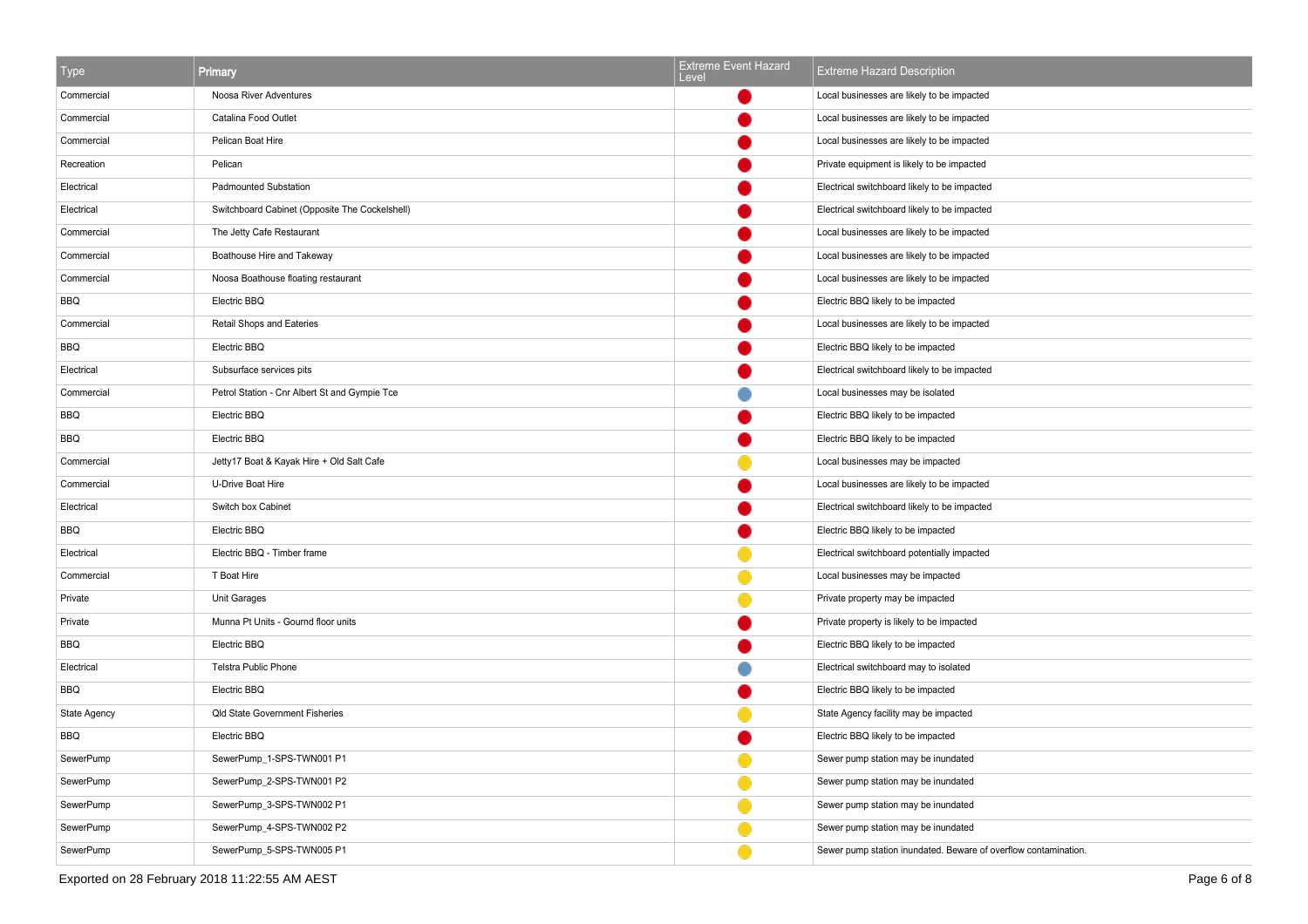| Type                | Primary                                        | <b>Extreme Event Hazard</b><br>Level | <b>Extreme Hazard Description</b>                               |
|---------------------|------------------------------------------------|--------------------------------------|-----------------------------------------------------------------|
| Commercial          | Noosa River Adventures                         |                                      | Local businesses are likely to be impacted                      |
| Commercial          | Catalina Food Outlet                           |                                      | Local businesses are likely to be impacted                      |
| Commercial          | Pelican Boat Hire                              |                                      | Local businesses are likely to be impacted                      |
| Recreation          | Pelican                                        |                                      | Private equipment is likely to be impacted                      |
| Electrical          | <b>Padmounted Substation</b>                   |                                      | Electrical switchboard likely to be impacted                    |
| Electrical          | Switchboard Cabinet (Opposite The Cockelshell) |                                      | Electrical switchboard likely to be impacted                    |
| Commercial          | The Jetty Cafe Restaurant                      |                                      | Local businesses are likely to be impacted                      |
| Commercial          | Boathouse Hire and Takeway                     |                                      | Local businesses are likely to be impacted                      |
| Commercial          | Noosa Boathouse floating restaurant            |                                      | Local businesses are likely to be impacted                      |
| <b>BBQ</b>          | Electric BBQ                                   |                                      | Electric BBQ likely to be impacted                              |
| Commercial          | Retail Shops and Eateries                      |                                      | Local businesses are likely to be impacted                      |
| <b>BBQ</b>          | Electric BBQ                                   |                                      | Electric BBQ likely to be impacted                              |
| Electrical          | Subsurface services pits                       |                                      | Electrical switchboard likely to be impacted                    |
| Commercial          | Petrol Station - Cnr Albert St and Gympie Tce  |                                      | Local businesses may be isolated                                |
| <b>BBQ</b>          | Electric BBQ                                   |                                      | Electric BBQ likely to be impacted                              |
| <b>BBQ</b>          | Electric BBQ                                   |                                      | Electric BBQ likely to be impacted                              |
| Commercial          | Jetty17 Boat & Kayak Hire + Old Salt Cafe      |                                      | Local businesses may be impacted                                |
| Commercial          | U-Drive Boat Hire                              |                                      | Local businesses are likely to be impacted                      |
| Electrical          | Switch box Cabinet                             |                                      | Electrical switchboard likely to be impacted                    |
| BBQ                 | Electric BBQ                                   |                                      | Electric BBQ likely to be impacted                              |
| Electrical          | Electric BBQ - Timber frame                    |                                      | Electrical switchboard potentially impacted                     |
| Commercial          | T Boat Hire                                    |                                      | Local businesses may be impacted                                |
| Private             | Unit Garages                                   |                                      | Private property may be impacted                                |
| Private             | Munna Pt Units - Gournd floor units            |                                      | Private property is likely to be impacted                       |
| BBQ                 | Electric BBQ                                   |                                      | Electric BBQ likely to be impacted                              |
| Electrical          | Telstra Public Phone                           |                                      | Electrical switchboard may to isolated                          |
| BBQ                 | Electric BBQ                                   |                                      | Electric BBQ likely to be impacted                              |
| <b>State Agency</b> | <b>Qld State Government Fisheries</b>          |                                      | State Agency facility may be impacted                           |
| BBQ                 | Electric BBQ                                   |                                      | Electric BBQ likely to be impacted                              |
| SewerPump           | SewerPump_1-SPS-TWN001 P1                      |                                      | Sewer pump station may be inundated                             |
| SewerPump           | SewerPump_2-SPS-TWN001 P2                      |                                      | Sewer pump station may be inundated                             |
| SewerPump           | SewerPump_3-SPS-TWN002 P1                      |                                      | Sewer pump station may be inundated                             |
| SewerPump           | SewerPump_4-SPS-TWN002 P2                      |                                      | Sewer pump station may be inundated                             |
| SewerPump           | SewerPump_5-SPS-TWN005 P1                      |                                      | Sewer pump station inundated. Beware of overflow contamination. |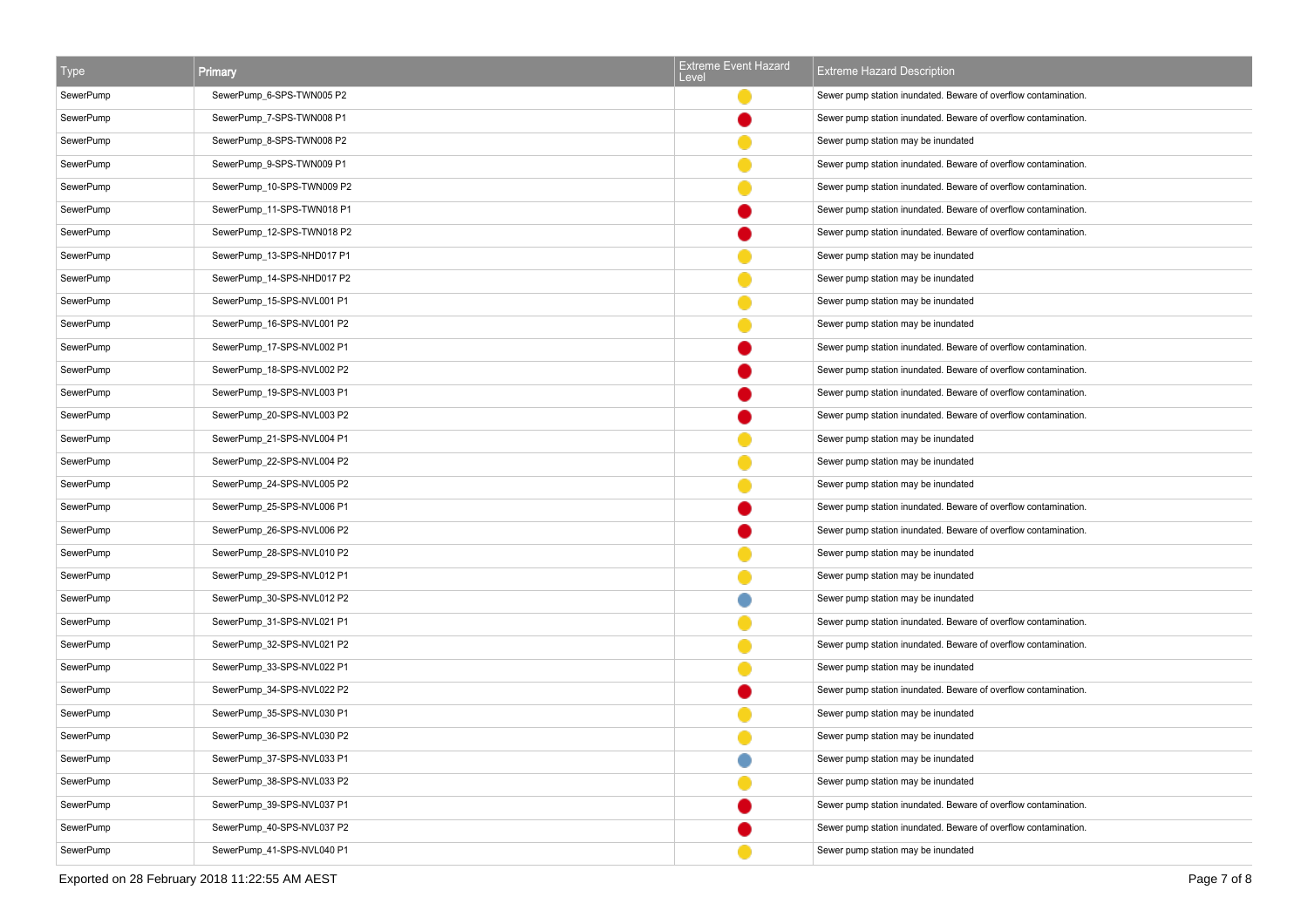| <b>Type</b> | <b>Primary</b>             | <b>Extreme Event Hazard</b><br>Level | <b>Extreme Hazard Description</b>                               |
|-------------|----------------------------|--------------------------------------|-----------------------------------------------------------------|
| SewerPump   | SewerPump_6-SPS-TWN005 P2  |                                      | Sewer pump station inundated. Beware of overflow contamination. |
| SewerPump   | SewerPump_7-SPS-TWN008 P1  |                                      | Sewer pump station inundated. Beware of overflow contamination. |
| SewerPump   | SewerPump_8-SPS-TWN008 P2  |                                      | Sewer pump station may be inundated                             |
| SewerPump   | SewerPump_9-SPS-TWN009 P1  |                                      | Sewer pump station inundated. Beware of overflow contamination. |
| SewerPump   | SewerPump 10-SPS-TWN009 P2 |                                      | Sewer pump station inundated. Beware of overflow contamination. |
| SewerPump   | SewerPump_11-SPS-TWN018 P1 |                                      | Sewer pump station inundated. Beware of overflow contamination. |
| SewerPump   | SewerPump_12-SPS-TWN018 P2 |                                      | Sewer pump station inundated. Beware of overflow contamination. |
| SewerPump   | SewerPump_13-SPS-NHD017 P1 |                                      | Sewer pump station may be inundated                             |
| SewerPump   | SewerPump 14-SPS-NHD017 P2 |                                      | Sewer pump station may be inundated                             |
| SewerPump   | SewerPump_15-SPS-NVL001 P1 |                                      | Sewer pump station may be inundated                             |
| SewerPump   | SewerPump_16-SPS-NVL001 P2 |                                      | Sewer pump station may be inundated                             |
| SewerPump   | SewerPump_17-SPS-NVL002 P1 |                                      | Sewer pump station inundated. Beware of overflow contamination. |
| SewerPump   | SewerPump_18-SPS-NVL002 P2 |                                      | Sewer pump station inundated. Beware of overflow contamination. |
| SewerPump   | SewerPump_19-SPS-NVL003 P1 |                                      | Sewer pump station inundated. Beware of overflow contamination. |
| SewerPump   | SewerPump_20-SPS-NVL003 P2 |                                      | Sewer pump station inundated. Beware of overflow contamination. |
| SewerPump   | SewerPump_21-SPS-NVL004 P1 |                                      | Sewer pump station may be inundated                             |
| SewerPump   | SewerPump_22-SPS-NVL004 P2 |                                      | Sewer pump station may be inundated                             |
| SewerPump   | SewerPump_24-SPS-NVL005 P2 |                                      | Sewer pump station may be inundated                             |
| SewerPump   | SewerPump_25-SPS-NVL006 P1 |                                      | Sewer pump station inundated. Beware of overflow contamination. |
| SewerPump   | SewerPump_26-SPS-NVL006 P2 |                                      | Sewer pump station inundated. Beware of overflow contamination. |
| SewerPump   | SewerPump_28-SPS-NVL010 P2 |                                      | Sewer pump station may be inundated                             |
| SewerPump   | SewerPump_29-SPS-NVL012 P1 |                                      | Sewer pump station may be inundated                             |
| SewerPump   | SewerPump_30-SPS-NVL012 P2 |                                      | Sewer pump station may be inundated                             |
| SewerPump   | SewerPump_31-SPS-NVL021 P1 |                                      | Sewer pump station inundated. Beware of overflow contamination. |
| SewerPump   | SewerPump_32-SPS-NVL021 P2 |                                      | Sewer pump station inundated. Beware of overflow contamination. |
| SewerPump   | SewerPump_33-SPS-NVL022 P1 |                                      | Sewer pump station may be inundated                             |
| SewerPump   | SewerPump_34-SPS-NVL022 P2 |                                      | Sewer pump station inundated. Beware of overflow contamination. |
| SewerPump   | SewerPump_35-SPS-NVL030 P1 |                                      | Sewer pump station may be inundated                             |
| SewerPump   | SewerPump_36-SPS-NVL030 P2 |                                      | Sewer pump station may be inundated                             |
| SewerPump   | SewerPump_37-SPS-NVL033 P1 |                                      | Sewer pump station may be inundated                             |
| SewerPump   | SewerPump_38-SPS-NVL033 P2 |                                      | Sewer pump station may be inundated                             |
| SewerPump   | SewerPump_39-SPS-NVL037 P1 |                                      | Sewer pump station inundated. Beware of overflow contamination. |
| SewerPump   | SewerPump_40-SPS-NVL037 P2 |                                      | Sewer pump station inundated. Beware of overflow contamination. |
| SewerPump   | SewerPump_41-SPS-NVL040 P1 |                                      | Sewer pump station may be inundated                             |